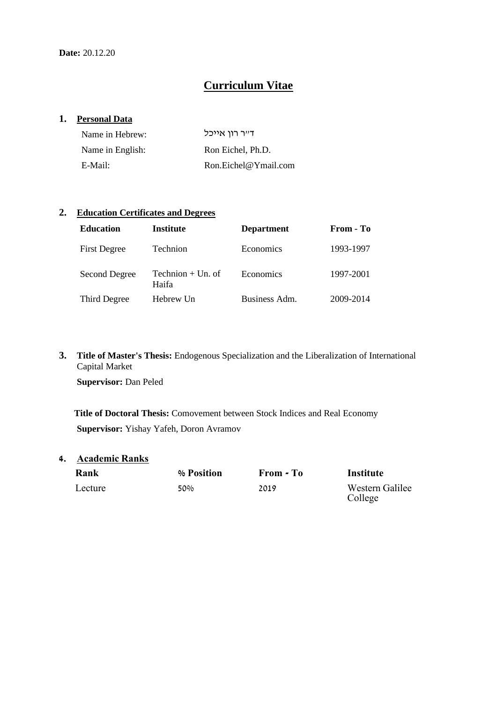# **Curriculum Vitae**

### **1. Personal Data**

| Name in Hebrew:  | ד״ר רון אייכל           |
|------------------|-------------------------|
| Name in English: | Ron Eichel, Ph.D.       |
| E-Mail:          | $R$ on.Eichel@Ymail.com |

### **2. Education Certificates and Degrees**

| <b>Education</b>    | Institute                    | <b>Department</b> | From - To |
|---------------------|------------------------------|-------------------|-----------|
| <b>First Degree</b> | Technion                     | Economics         | 1993-1997 |
| Second Degree       | Technion $+$ Un. of<br>Haifa | Economics         | 1997-2001 |
| Third Degree        | Hebrew Un                    | Business Adm.     | 2009-2014 |

**3. Title of Master's Thesis:** Endogenous Specialization and the Liberalization of International Capital Market

**Supervisor:** Dan Peled

**Title of Doctoral Thesis:** Comovement between Stock Indices and Real Economy **Supervisor:** Yishay Yafeh, Doron Avramov

**4. Academic Ranks**

| Rank    |  |
|---------|--|
| Lecture |  |

**Rank % Position From - To Institute**

50% 2019 2019 Western Galilee College